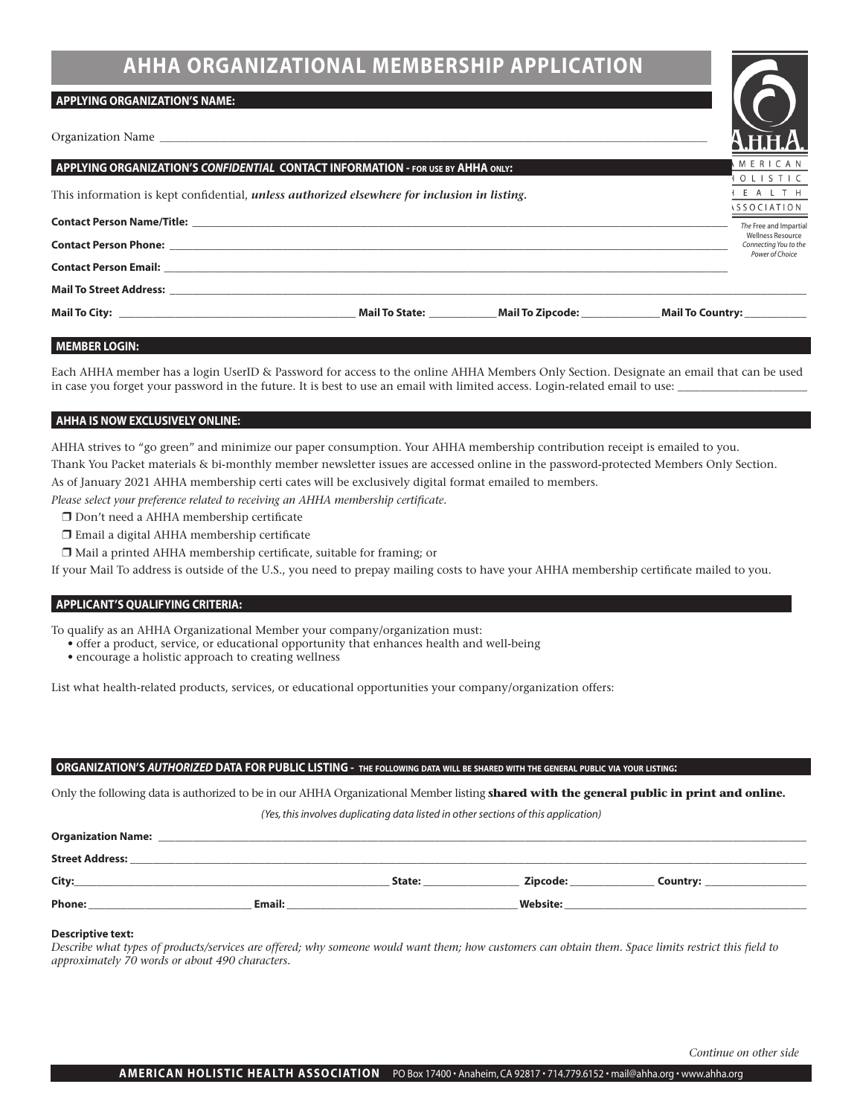# **AHHA ORGANIZATIONAL MEMBERSHIP APPLICATION**

#### **APPLYING ORGANIZATION'S NAME:**

Organization Name

|                                                                                                                                                                                                                                | - 0 0 0 0 0 0 11                                              |  |  |  |
|--------------------------------------------------------------------------------------------------------------------------------------------------------------------------------------------------------------------------------|---------------------------------------------------------------|--|--|--|
| <b>APPLYING ORGANIZATION'S CONFIDENTIAL CONTACT INFORMATION - FOR USE BY AHHA ONLY:</b>                                                                                                                                        |                                                               |  |  |  |
| This information is kept confidential, <i>unless authorized elsewhere for inclusion in listing</i> .                                                                                                                           | TOLISTIC<br>I E A L T H<br><i><b>ISSOCIATION</b></i>          |  |  |  |
|                                                                                                                                                                                                                                |                                                               |  |  |  |
|                                                                                                                                                                                                                                | Wellness Resource<br>Connecting You to the<br>Power of Choice |  |  |  |
|                                                                                                                                                                                                                                |                                                               |  |  |  |
| Mail To Street Address: North Mail To Street Address: North Mail To Street Address: North Mail To Street Address: North Mail To Street Address: North Mail To Street Address: North Mail To Street Address: North Mail To Stre |                                                               |  |  |  |
| Mail To State: Mail To Zipcode:                                                                                                                                                                                                | Mail To Country: ___________                                  |  |  |  |

#### **MEMBER LOGIN:**

Each AHHA member has a login UserID & Password for access to the online AHHA Members Only Section. Designate an email that can be used in case you forget your password in the future. It is best to use an email with limited access. Login-related email to use:

#### **AHHA IS NOW EXCLUSIVELY ONLINE:**

AHHA strives to "go green" and minimize our paper consumption. Your AHHA membership contribution receipt is emailed to you. Thank You Packet materials & bi-monthly member newsletter issues are accessed online in the password-protected Members Only Section. As of January 2021 AHHA membership certi cates will be exclusively digital format emailed to members.

*Please select your preference related to receiving an AHHA membership certificate.*

- $\Box$  Don't need a AHHA membership certificate
- $\Box$  Email a digital AHHA membership certificate
- $\Box$  Mail a printed AHHA membership certificate, suitable for framing; or

If your Mail To address is outside of the U.S., you need to prepay mailing costs to have your AHHA membership certificate mailed to you.

#### **APPLICANT'S QUALIFYING CRITERIA:**

To qualify as an AHHA Organizational Member your company/organization must:

- offer a product, service, or educational opportunity that enhances health and well-being
- encourage a holistic approach to creating wellness

List what health-related products, services, or educational opportunities your company/organization offers:

#### ORGANIZATION'S AUTHORIZED DATA FOR PUBLIC LISTING - THE FOLLOWING DATA WILL BE SHARED WITH THE GENERAL PUBLIC VIA YOUR LISTING:

Only the following data is authorized to be in our AHHA Organizational Member listing **shared with the general public in print and online.**

*(Yes, this involves duplicating data listed in other sections of this application)*

| <b>Organization Name:</b> |        |        |                 |          |  |
|---------------------------|--------|--------|-----------------|----------|--|
| <b>Street Address:</b>    |        |        |                 |          |  |
| City:                     |        | State: | Zipcode:        | Country: |  |
| <b>Phone:</b>             | Email: |        | <b>Website:</b> |          |  |

#### **Descriptive text:**

*Describe what types of products/services are offered; why someone would want them; how customers can obtain them. Space limits restrict this field to approximately 70 words or about 490 characters.*

*Continue on other side*